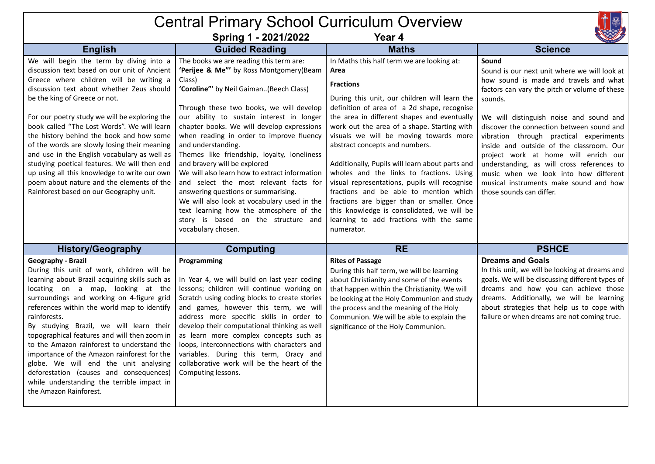## Central Primary School Curriculum Overview



|  | Spring 1 - 2021/2022 |  |
|--|----------------------|--|

**Spring 1 - 2021/2022 Year 4**

|                                                                                                                                                                                                                                                                                                                                                                                                                                                                                                                                                                                                                                                      | -r                                                                                                                                                                                                                                                                                                                                                                                                                                                                                                                                                                                                                                                                                                                       |                                                                                                                                                                                                                                                                                                                                                                                                                                                                                                                                                                                                                                                                                                 | <b>MAL PRUP</b>                                                                                                                                                                                                                                                                                                                                                                                                                                                                                                                                 |
|------------------------------------------------------------------------------------------------------------------------------------------------------------------------------------------------------------------------------------------------------------------------------------------------------------------------------------------------------------------------------------------------------------------------------------------------------------------------------------------------------------------------------------------------------------------------------------------------------------------------------------------------------|--------------------------------------------------------------------------------------------------------------------------------------------------------------------------------------------------------------------------------------------------------------------------------------------------------------------------------------------------------------------------------------------------------------------------------------------------------------------------------------------------------------------------------------------------------------------------------------------------------------------------------------------------------------------------------------------------------------------------|-------------------------------------------------------------------------------------------------------------------------------------------------------------------------------------------------------------------------------------------------------------------------------------------------------------------------------------------------------------------------------------------------------------------------------------------------------------------------------------------------------------------------------------------------------------------------------------------------------------------------------------------------------------------------------------------------|-------------------------------------------------------------------------------------------------------------------------------------------------------------------------------------------------------------------------------------------------------------------------------------------------------------------------------------------------------------------------------------------------------------------------------------------------------------------------------------------------------------------------------------------------|
| <b>English</b>                                                                                                                                                                                                                                                                                                                                                                                                                                                                                                                                                                                                                                       | <b>Guided Reading</b>                                                                                                                                                                                                                                                                                                                                                                                                                                                                                                                                                                                                                                                                                                    | <b>Maths</b>                                                                                                                                                                                                                                                                                                                                                                                                                                                                                                                                                                                                                                                                                    | <b>Science</b>                                                                                                                                                                                                                                                                                                                                                                                                                                                                                                                                  |
| We will begin the term by diving into a<br>discussion text based on our unit of Ancient<br>Greece where children will be writing a<br>discussion text about whether Zeus should<br>be the king of Greece or not.<br>For our poetry study we will be exploring the<br>book called "The Lost Words". We will learn<br>the history behind the book and how some<br>of the words are slowly losing their meaning<br>and use in the English vocabulary as well as<br>studying poetical features. We will then end<br>up using all this knowledge to write our own<br>poem about nature and the elements of the<br>Rainforest based on our Geography unit. | The books we are reading this term are:<br>'Perijee & Me"' by Ross Montgomery(Beam<br>Class)<br>'Coroline"' by Neil Gaiman(Beech Class)<br>Through these two books, we will develop<br>our ability to sustain interest in longer<br>chapter books. We will develop expressions<br>when reading in order to improve fluency<br>and understanding.<br>Themes like friendship, loyalty, loneliness<br>and bravery will be explored<br>We will also learn how to extract information<br>and select the most relevant facts for<br>answering questions or summarising.<br>We will also look at vocabulary used in the<br>text learning how the atmosphere of the<br>story is based on the structure and<br>vocabulary chosen. | In Maths this half term we are looking at:<br>Area<br><b>Fractions</b><br>During this unit, our children will learn the<br>definition of area of a 2d shape, recognise<br>the area in different shapes and eventually<br>work out the area of a shape. Starting with<br>visuals we will be moving towards more<br>abstract concepts and numbers.<br>Additionally, Pupils will learn about parts and<br>wholes and the links to fractions. Using<br>visual representations, pupils will recognise<br>fractions and be able to mention which<br>fractions are bigger than or smaller. Once<br>this knowledge is consolidated, we will be<br>learning to add fractions with the same<br>numerator. | Sound<br>Sound is our next unit where we will look at<br>how sound is made and travels and what<br>factors can vary the pitch or volume of these<br>sounds.<br>We will distinguish noise and sound and<br>discover the connection between sound and<br>vibration through practical experiments<br>inside and outside of the classroom. Our<br>project work at home will enrich our<br>understanding, as will cross references to<br>music when we look into how different<br>musical instruments make sound and how<br>those sounds can differ. |
| <b>History/Geography</b>                                                                                                                                                                                                                                                                                                                                                                                                                                                                                                                                                                                                                             | <b>Computing</b>                                                                                                                                                                                                                                                                                                                                                                                                                                                                                                                                                                                                                                                                                                         | <b>RE</b>                                                                                                                                                                                                                                                                                                                                                                                                                                                                                                                                                                                                                                                                                       | <b>PSHCE</b>                                                                                                                                                                                                                                                                                                                                                                                                                                                                                                                                    |
| Geography - Brazil<br>During this unit of work, children will be<br>learning about Brazil acquiring skills such as<br>locating on a map, looking at the<br>surroundings and working on 4-figure grid<br>references within the world map to identify<br>rainforests.<br>By studying Brazil, we will learn their<br>topographical features and will then zoom in<br>to the Amazon rainforest to understand the<br>importance of the Amazon rainforest for the<br>globe. We will end the unit analysing<br>deforestation (causes and consequences)<br>while understanding the terrible impact in<br>the Amazon Rainforest.                              | Programming<br>In Year 4, we will build on last year coding<br>lessons; children will continue working on<br>Scratch using coding blocks to create stories<br>and games, however this term, we will<br>address more specific skills in order to<br>develop their computational thinking as well<br>as learn more complex concepts such as<br>loops, interconnections with characters and<br>variables. During this term, Oracy and<br>collaborative work will be the heart of the<br>Computing lessons.                                                                                                                                                                                                                  | <b>Rites of Passage</b><br>During this half term, we will be learning<br>about Christianity and some of the events<br>that happen within the Christianity. We will<br>be looking at the Holy Communion and study<br>the process and the meaning of the Holy<br>Communion. We will be able to explain the<br>significance of the Holy Communion.                                                                                                                                                                                                                                                                                                                                                 | <b>Dreams and Goals</b><br>In this unit, we will be looking at dreams and<br>goals. We will be discussing different types of<br>dreams and how you can achieve those<br>dreams. Additionally, we will be learning<br>about strategies that help us to cope with<br>failure or when dreams are not coming true.                                                                                                                                                                                                                                  |